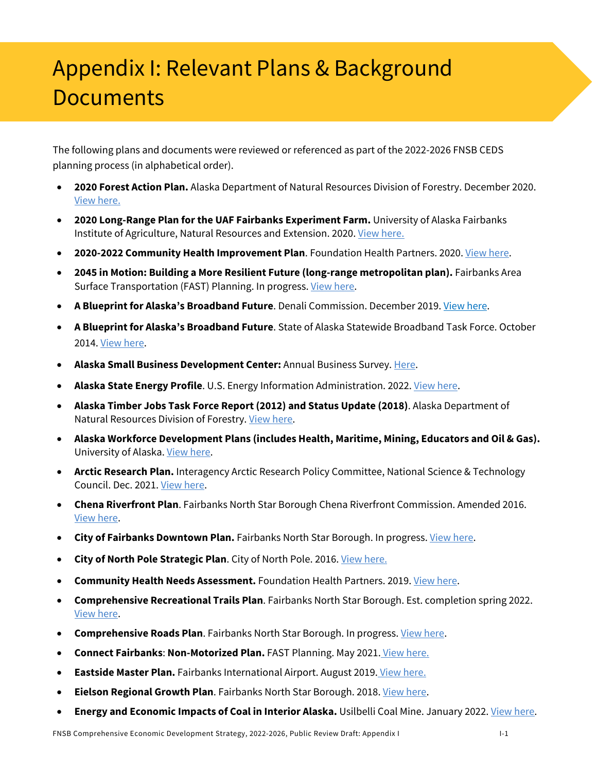## Appendix I: Relevant Plans & Background **Documents**

The following plans and documents were reviewed or referenced as part of the 2022-2026 FNSB CEDS planning process (in alphabetical order).

- **2020 Forest Action Plan.** Alaska Department of Natural Resources Division of Forestry. December 2020. View here.
- **2020 Long-Range Plan for the UAF Fairbanks Experiment Farm.** University of Alaska Fairbanks Institute of Agriculture, Natural Resources and Extension. 2020. View here.
- **2020-2022 Community Health Improvement Plan**. Foundation Health Partners. 2020. View here.
- **2045 in Motion: Building a More Resilient Future (long-range metropolitan plan).** Fairbanks Area Surface Transportation (FAST) Planning. In progress. View here.
- **A Blueprint for Alaska's Broadband Future**. Denali Commission. December 2019. View here.
- **A Blueprint for Alaska's Broadband Future**. State of Alaska Statewide Broadband Task Force. October 2014. View here.
- **Alaska Small Business Development Center:** Annual Business Survey. Here.
- **Alaska State Energy Profile**. U.S. Energy Information Administration. 2022. View here.
- **Alaska Timber Jobs Task Force Report (2012) and Status Update (2018)**. Alaska Department of Natural Resources Division of Forestry. View here.
- **Alaska Workforce Development Plans (includes Health, Maritime, Mining, Educators and Oil & Gas).** University of Alaska. View here.
- **Arctic Research Plan.** Interagency Arctic Research Policy Committee, National Science & Technology Council. Dec. 2021. View here.
- **Chena Riverfront Plan**. Fairbanks North Star Borough Chena Riverfront Commission. Amended 2016. View here.
- **City of Fairbanks Downtown Plan.** Fairbanks North Star Borough. In progress. View here.
- **City of North Pole Strategic Plan**. City of North Pole. 2016. View here.
- **Community Health Needs Assessment.** Foundation Health Partners. 2019. View here.
- **Comprehensive Recreational Trails Plan**. Fairbanks North Star Borough. Est. completion spring 2022. View here.
- **Comprehensive Roads Plan**. Fairbanks North Star Borough. In progress. View here.
- **Connect Fairbanks**: **Non-Motorized Plan.** FAST Planning. May 2021. View here.
- **Eastside Master Plan.** Fairbanks International Airport. August 2019. View here.
- **Eielson Regional Growth Plan**. Fairbanks North Star Borough. 2018. View here.
- **Energy and Economic Impacts of Coal in Interior Alaska.** Usilbelli Coal Mine. January 2022. View here.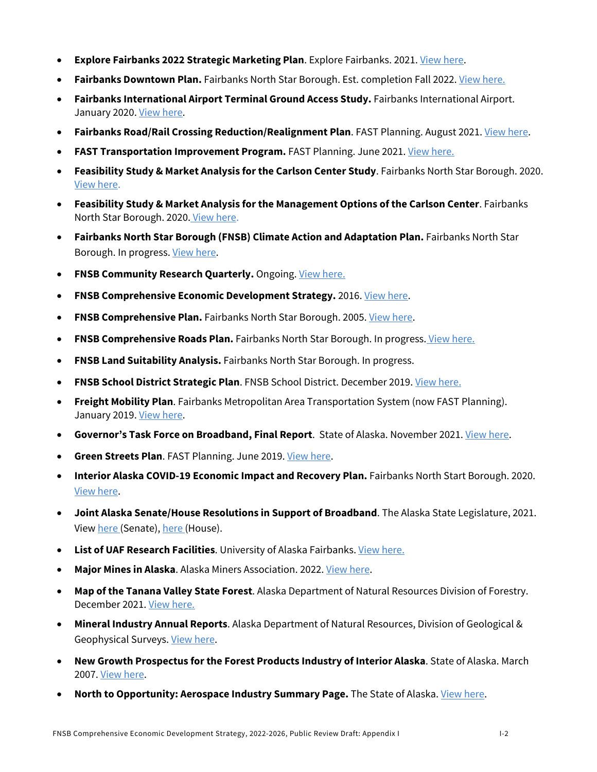- **Explore Fairbanks 2022 Strategic Marketing Plan**. Explore Fairbanks. 2021. View here.
- **Fairbanks Downtown Plan.** Fairbanks North Star Borough. Est. completion Fall 2022. View here.
- **Fairbanks International Airport Terminal Ground Access Study.** Fairbanks International Airport. January 2020. View here.
- **Fairbanks Road/Rail Crossing Reduction/Realignment Plan**. FAST Planning. August 2021. View here.
- **FAST Transportation Improvement Program.** FAST Planning. June 2021. View here.
- **Feasibility Study & Market Analysis for the Carlson Center Study**. Fairbanks North Star Borough. 2020. View here.
- **Feasibility Study & Market Analysis for the Management Options of the Carlson Center**. Fairbanks North Star Borough. 2020. View here.
- **Fairbanks North Star Borough (FNSB) Climate Action and Adaptation Plan.** Fairbanks North Star Borough. In progress. View here.
- **FNSB Community Research Quarterly.** Ongoing. View here.
- **FNSB Comprehensive Economic Development Strategy.** 2016. View here.
- **FNSB Comprehensive Plan.** Fairbanks North Star Borough. 2005. View here.
- **FNSB Comprehensive Roads Plan.** Fairbanks North Star Borough. In progress. View here.
- **FNSB Land Suitability Analysis.** Fairbanks North Star Borough. In progress.
- **FNSB School District Strategic Plan**. FNSB School District. December 2019. View here.
- **Freight Mobility Plan**. Fairbanks Metropolitan Area Transportation System (now FAST Planning). January 2019. View here.
- **Governor's Task Force on Broadband, Final Report**. State of Alaska. November 2021. View here.
- **Green Streets Plan**. FAST Planning. June 2019. View here.
- **Interior Alaska COVID-19 Economic Impact and Recovery Plan.** Fairbanks North Start Borough. 2020. View here.
- **Joint Alaska Senate/House Resolutions in Support of Broadband**. The Alaska State Legislature, 2021. View here (Senate), here (House).
- **List of UAF Research Facilities**. University of Alaska Fairbanks. View here.
- **Major Mines in Alaska**. Alaska Miners Association. 2022. View here.
- **Map of the Tanana Valley State Forest**. Alaska Department of Natural Resources Division of Forestry. December 2021. View here.
- **Mineral Industry Annual Reports**. Alaska Department of Natural Resources, Division of Geological & Geophysical Surveys. View here.
- **New Growth Prospectus for the Forest Products Industry of Interior Alaska**. State of Alaska. March 2007. View here.
- **North to Opportunity: Aerospace Industry Summary Page.** The State of Alaska. View here.